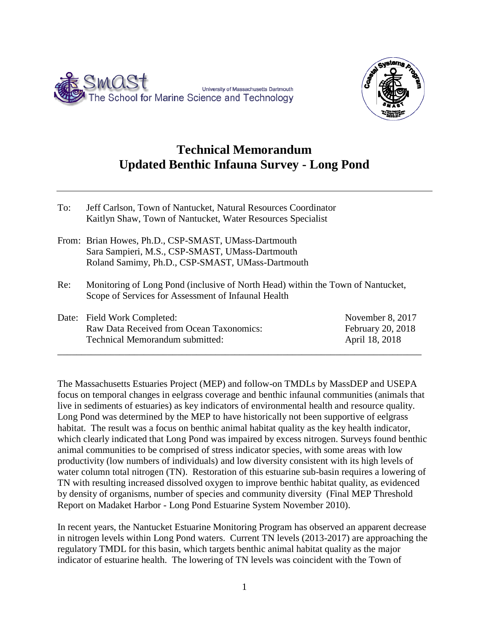



## **Technical Memorandum Updated Benthic Infauna Survey - Long Pond**

| To: | Jeff Carlson, Town of Nantucket, Natural Resources Coordinator<br>Kaitlyn Shaw, Town of Nantucket, Water Resources Specialist                               |                   |
|-----|-------------------------------------------------------------------------------------------------------------------------------------------------------------|-------------------|
|     | From: Brian Howes, Ph.D., CSP-SMAST, UMass-Dartmouth<br>Sara Sampieri, M.S., CSP-SMAST, UMass-Dartmouth<br>Roland Samimy, Ph.D., CSP-SMAST, UMass-Dartmouth |                   |
| Re: | Monitoring of Long Pond (inclusive of North Head) within the Town of Nantucket,<br>Scope of Services for Assessment of Infaunal Health                      |                   |
|     | Date: Field Work Completed:                                                                                                                                 | November 8, 2017  |
|     | Raw Data Received from Ocean Taxonomics:                                                                                                                    | February 20, 2018 |
|     | Technical Memorandum submitted:                                                                                                                             | April 18, 2018    |

\_\_\_\_\_\_\_\_\_\_\_\_\_\_\_\_\_\_\_\_\_\_\_\_\_\_\_\_\_\_\_\_\_\_\_\_\_\_\_\_\_\_\_\_\_\_\_\_\_\_\_\_\_\_\_\_\_\_\_\_\_\_\_\_\_\_\_\_\_\_\_\_\_\_\_\_

The Massachusetts Estuaries Project (MEP) and follow-on TMDLs by MassDEP and USEPA focus on temporal changes in eelgrass coverage and benthic infaunal communities (animals that live in sediments of estuaries) as key indicators of environmental health and resource quality. Long Pond was determined by the MEP to have historically not been supportive of eelgrass habitat. The result was a focus on benthic animal habitat quality as the key health indicator, which clearly indicated that Long Pond was impaired by excess nitrogen. Surveys found benthic animal communities to be comprised of stress indicator species, with some areas with low productivity (low numbers of individuals) and low diversity consistent with its high levels of water column total nitrogen (TN). Restoration of this estuarine sub-basin requires a lowering of TN with resulting increased dissolved oxygen to improve benthic habitat quality, as evidenced by density of organisms, number of species and community diversity (Final MEP Threshold Report on Madaket Harbor - Long Pond Estuarine System November 2010).

In recent years, the Nantucket Estuarine Monitoring Program has observed an apparent decrease in nitrogen levels within Long Pond waters. Current TN levels (2013-2017) are approaching the regulatory TMDL for this basin, which targets benthic animal habitat quality as the major indicator of estuarine health. The lowering of TN levels was coincident with the Town of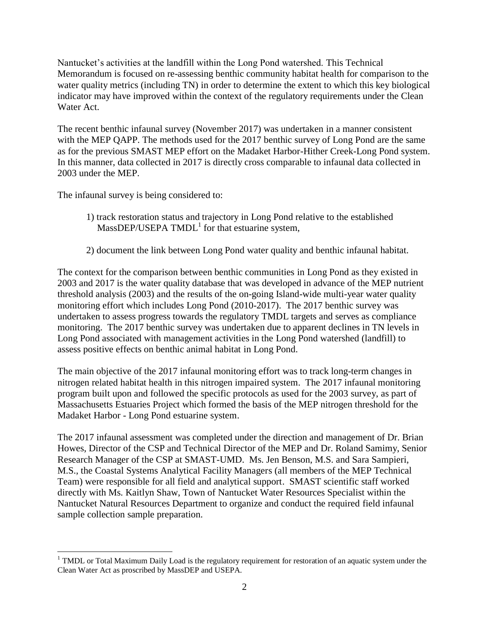Nantucket's activities at the landfill within the Long Pond watershed. This Technical Memorandum is focused on re-assessing benthic community habitat health for comparison to the water quality metrics (including TN) in order to determine the extent to which this key biological indicator may have improved within the context of the regulatory requirements under the Clean Water Act.

The recent benthic infaunal survey (November 2017) was undertaken in a manner consistent with the MEP QAPP. The methods used for the 2017 benthic survey of Long Pond are the same as for the previous SMAST MEP effort on the Madaket Harbor-Hither Creek-Long Pond system. In this manner, data collected in 2017 is directly cross comparable to infaunal data collected in 2003 under the MEP.

The infaunal survey is being considered to:

- 1) track restoration status and trajectory in Long Pond relative to the established  $Mass$ DEP/USEPA  $TMDL<sup>1</sup>$  for that estuarine system,
- 2) document the link between Long Pond water quality and benthic infaunal habitat.

The context for the comparison between benthic communities in Long Pond as they existed in 2003 and 2017 is the water quality database that was developed in advance of the MEP nutrient threshold analysis (2003) and the results of the on-going Island-wide multi-year water quality monitoring effort which includes Long Pond (2010-2017). The 2017 benthic survey was undertaken to assess progress towards the regulatory TMDL targets and serves as compliance monitoring. The 2017 benthic survey was undertaken due to apparent declines in TN levels in Long Pond associated with management activities in the Long Pond watershed (landfill) to assess positive effects on benthic animal habitat in Long Pond.

The main objective of the 2017 infaunal monitoring effort was to track long-term changes in nitrogen related habitat health in this nitrogen impaired system. The 2017 infaunal monitoring program built upon and followed the specific protocols as used for the 2003 survey, as part of Massachusetts Estuaries Project which formed the basis of the MEP nitrogen threshold for the Madaket Harbor - Long Pond estuarine system.

The 2017 infaunal assessment was completed under the direction and management of Dr. Brian Howes, Director of the CSP and Technical Director of the MEP and Dr. Roland Samimy, Senior Research Manager of the CSP at SMAST-UMD. Ms. Jen Benson, M.S. and Sara Sampieri, M.S., the Coastal Systems Analytical Facility Managers (all members of the MEP Technical Team) were responsible for all field and analytical support. SMAST scientific staff worked directly with Ms. Kaitlyn Shaw, Town of Nantucket Water Resources Specialist within the Nantucket Natural Resources Department to organize and conduct the required field infaunal sample collection sample preparation.

 $\overline{a}$ <sup>1</sup> TMDL or Total Maximum Daily Load is the regulatory requirement for restoration of an aquatic system under the Clean Water Act as proscribed by MassDEP and USEPA.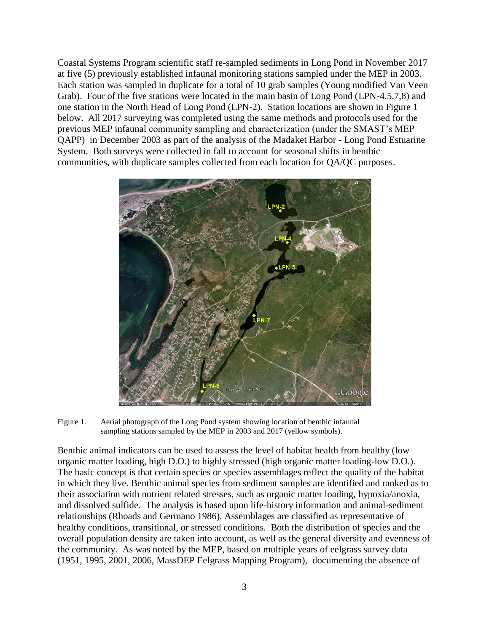Coastal Systems Program scientific staff re-sampled sediments in Long Pond in November 2017 at five (5) previously established infaunal monitoring stations sampled under the MEP in 2003. Each station was sampled in duplicate for a total of 10 grab samples (Young modified Van Veen Grab). Four of the five stations were located in the main basin of Long Pond (LPN-4,5,7,8) and one station in the North Head of Long Pond (LPN-2). Station locations are shown in Figure 1 below. All 2017 surveying was completed using the same methods and protocols used for the previous MEP infaunal community sampling and characterization (under the SMAST's MEP QAPP) in December 2003 as part of the analysis of the Madaket Harbor - Long Pond Estuarine System. Both surveys were collected in fall to account for seasonal shifts in benthic communities, with duplicate samples collected from each location for QA/QC purposes.



Figure 1. Aerial photograph of the Long Pond system showing location of benthic infaunal sampling stations sampled by the MEP in 2003 and 2017 (yellow symbols).

Benthic animal indicators can be used to assess the level of habitat health from healthy (low organic matter loading, high D.O.) to highly stressed (high organic matter loading-low D.O.). The basic concept is that certain species or species assemblages reflect the quality of the habitat in which they live. Benthic animal species from sediment samples are identified and ranked as to their association with nutrient related stresses, such as organic matter loading, hypoxia/anoxia, and dissolved sulfide. The analysis is based upon life-history information and animal-sediment relationships (Rhoads and Germano 1986). Assemblages are classified as representative of healthy conditions, transitional, or stressed conditions. Both the distribution of species and the overall population density are taken into account, as well as the general diversity and evenness of the community. As was noted by the MEP, based on multiple years of eelgrass survey data (1951, 1995, 2001, 2006, MassDEP Eelgrass Mapping Program), documenting the absence of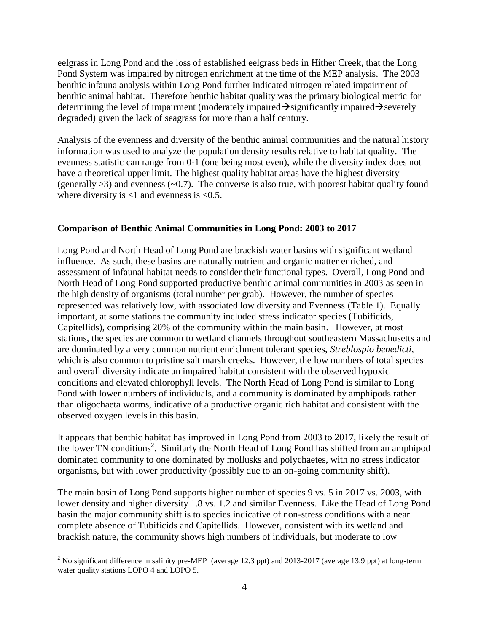eelgrass in Long Pond and the loss of established eelgrass beds in Hither Creek, that the Long Pond System was impaired by nitrogen enrichment at the time of the MEP analysis. The 2003 benthic infauna analysis within Long Pond further indicated nitrogen related impairment of benthic animal habitat. Therefore benthic habitat quality was the primary biological metric for determining the level of impairment (moderately impaired  $\rightarrow$  significantly impaired  $\rightarrow$  severely degraded) given the lack of seagrass for more than a half century.

Analysis of the evenness and diversity of the benthic animal communities and the natural history information was used to analyze the population density results relative to habitat quality. The evenness statistic can range from 0-1 (one being most even), while the diversity index does not have a theoretical upper limit. The highest quality habitat areas have the highest diversity (generally  $>3$ ) and evenness ( $\sim$ 0.7). The converse is also true, with poorest habitat quality found where diversity is  $< 1$  and evenness is  $< 0.5$ .

## **Comparison of Benthic Animal Communities in Long Pond: 2003 to 2017**

Long Pond and North Head of Long Pond are brackish water basins with significant wetland influence. As such, these basins are naturally nutrient and organic matter enriched, and assessment of infaunal habitat needs to consider their functional types. Overall, Long Pond and North Head of Long Pond supported productive benthic animal communities in 2003 as seen in the high density of organisms (total number per grab). However, the number of species represented was relatively low, with associated low diversity and Evenness (Table 1). Equally important, at some stations the community included stress indicator species (Tubificids, Capitellids), comprising 20% of the community within the main basin. However, at most stations, the species are common to wetland channels throughout southeastern Massachusetts and are dominated by a very common nutrient enrichment tolerant species, *Streblospio benedicti*, which is also common to pristine salt marsh creeks. However, the low numbers of total species and overall diversity indicate an impaired habitat consistent with the observed hypoxic conditions and elevated chlorophyll levels. The North Head of Long Pond is similar to Long Pond with lower numbers of individuals, and a community is dominated by amphipods rather than oligochaeta worms, indicative of a productive organic rich habitat and consistent with the observed oxygen levels in this basin.

It appears that benthic habitat has improved in Long Pond from 2003 to 2017, likely the result of the lower TN conditions<sup>2</sup>. Similarly the North Head of Long Pond has shifted from an amphipod dominated community to one dominated by mollusks and polychaetes, with no stress indicator organisms, but with lower productivity (possibly due to an on-going community shift).

The main basin of Long Pond supports higher number of species 9 vs. 5 in 2017 vs. 2003, with lower density and higher diversity 1.8 vs. 1.2 and similar Evenness. Like the Head of Long Pond basin the major community shift is to species indicative of non-stress conditions with a near complete absence of Tubificids and Capitellids. However, consistent with its wetland and brackish nature, the community shows high numbers of individuals, but moderate to low

 $\overline{a}$ 

<sup>&</sup>lt;sup>2</sup> No significant difference in salinity pre-MEP (average 12.3 ppt) and 2013-2017 (average 13.9 ppt) at long-term water quality stations LOPO 4 and LOPO 5.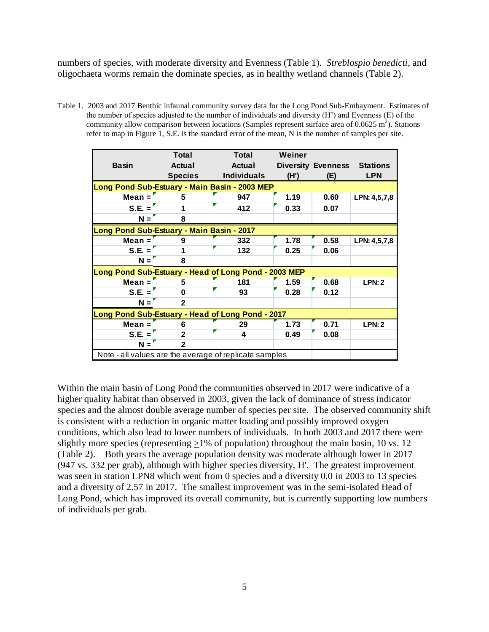numbers of species, with moderate diversity and Evenness (Table 1). *Streblospio benedicti*, and oligochaeta worms remain the dominate species, as in healthy wetland channels (Table 2).

Table 1. 2003 and 2017 Benthic infaunal community survey data for the Long Pond Sub-Embayment. Estimates of the number of species adjusted to the number of individuals and diversity (H') and Evenness (E) of the community allow comparison between locations (Samples represent surface area of 0.0625 m<sup>2</sup>). Stations refer to map in Figure 1, S.E. is the standard error of the mean, N is the number of samples per site.

|                                                        | <b>Total</b>   | Total              | Weiner                       |                           |                 |  |  |  |  |  |  |
|--------------------------------------------------------|----------------|--------------------|------------------------------|---------------------------|-----------------|--|--|--|--|--|--|
| <b>Basin</b>                                           | <b>Actual</b>  | <b>Actual</b>      |                              | <b>Diversity Evenness</b> | <b>Stations</b> |  |  |  |  |  |  |
|                                                        | <b>Species</b> | <b>Individuals</b> | (H')                         | (E)                       | <b>LPN</b>      |  |  |  |  |  |  |
| Long Pond Sub-Estuary - Main Basin - 2003 MEP          |                |                    |                              |                           |                 |  |  |  |  |  |  |
| $Mean =$                                               | 5              | 947                | 1.19<br>0.60<br>LPN: 4,5,7,8 |                           |                 |  |  |  |  |  |  |
| $S.E. =$                                               |                | 412                | 0.33                         | 0.07                      |                 |  |  |  |  |  |  |
| $N =$                                                  | 8              |                    |                              |                           |                 |  |  |  |  |  |  |
| Long Pond Sub-Estuary - Main Basin - 2017              |                |                    |                              |                           |                 |  |  |  |  |  |  |
| $Mean =$                                               | 9              | 332                | 1.78                         | 0.58                      | LPN: 4,5,7,8    |  |  |  |  |  |  |
| $S.E. =$                                               |                | 132                | 0.25                         | 0.06                      |                 |  |  |  |  |  |  |
| $N =$                                                  | 8              |                    |                              |                           |                 |  |  |  |  |  |  |
| Long Pond Sub-Estuary - Head of Long Pond - 2003 MEP   |                |                    |                              |                           |                 |  |  |  |  |  |  |
| $Mean =$                                               | 5              | 181                | 1.59                         | 0.68                      | LPN:2           |  |  |  |  |  |  |
| $S.E. =$                                               | O              | 93                 | 0.28                         | 0.12                      |                 |  |  |  |  |  |  |
| $N =$                                                  | $\overline{2}$ |                    |                              |                           |                 |  |  |  |  |  |  |
| Long Pond Sub-Estuary - Head of Long Pond - 2017       |                |                    |                              |                           |                 |  |  |  |  |  |  |
| $Mean =$                                               | 6              | 29                 | 1.73                         | 0.71                      | LPN:2           |  |  |  |  |  |  |
| $S.E. =$<br>$\overline{2}$                             |                | 4                  | 0.49                         | 0.08                      |                 |  |  |  |  |  |  |
| $N =$                                                  | $\mathbf{c}$   |                    |                              |                           |                 |  |  |  |  |  |  |
| Note - all values are the average of replicate samples |                |                    |                              |                           |                 |  |  |  |  |  |  |

Within the main basin of Long Pond the communities observed in 2017 were indicative of a higher quality habitat than observed in 2003, given the lack of dominance of stress indicator species and the almost double average number of species per site. The observed community shift is consistent with a reduction in organic matter loading and possibly improved oxygen conditions, which also lead to lower numbers of individuals. In both 2003 and 2017 there were slightly more species (representing  $\geq$ 1% of population) throughout the main basin, 10 vs. 12 (Table 2). Both years the average population density was moderate although lower in 2017 (947 vs. 332 per grab), although with higher species diversity, H'. The greatest improvement was seen in station LPN8 which went from 0 species and a diversity 0.0 in 2003 to 13 species and a diversity of 2.57 in 2017. The smallest improvement was in the semi-isolated Head of Long Pond, which has improved its overall community, but is currently supporting low numbers of individuals per grab.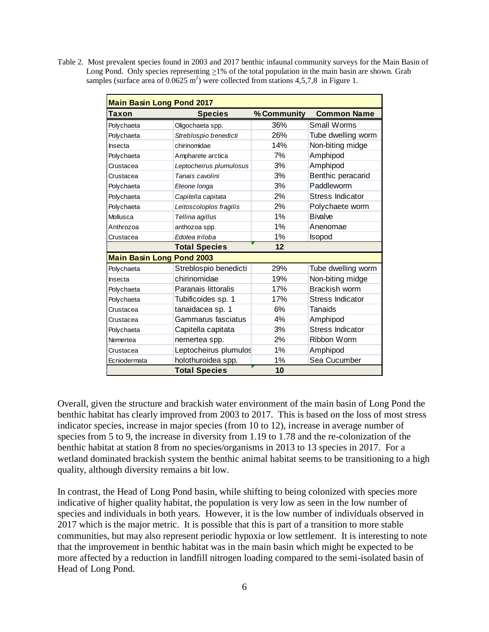Table 2. Most prevalent species found in 2003 and 2017 benthic infaunal community surveys for the Main Basin of Long Pond. Only species representing >1% of the total population in the main basin are shown. Grab samples (surface area of  $0.0625$  m<sup>2</sup>) were collected from stations 4,5,7,8 in Figure 1.

| <b>Main Basin Long Pond 2017</b> |                         |             |                         |  |  |  |  |  |  |
|----------------------------------|-------------------------|-------------|-------------------------|--|--|--|--|--|--|
| Taxon                            | <b>Species</b>          | % Community | <b>Common Name</b>      |  |  |  |  |  |  |
| Polychaeta                       | Oligochaeta spp.        | 36%         | Small Worms             |  |  |  |  |  |  |
| Polychaeta                       | Streblospio benedicti   | 26%         | Tube dwelling worm      |  |  |  |  |  |  |
| Insecta                          | chirinomidae            | 14%         | Non-biting midge        |  |  |  |  |  |  |
| Polychaeta                       | Ampharete arctica       | 7%          | Amphipod                |  |  |  |  |  |  |
| Crustacea                        | Leptocheirus plumulosus | 3%          | Amphipod                |  |  |  |  |  |  |
| Crustacea                        | Tanais cavolini         | 3%          | Benthic peracarid       |  |  |  |  |  |  |
| Polychaeta                       | Eteone longa            | 3%          | Paddleworm              |  |  |  |  |  |  |
| Polychaeta                       | Capitella capitata      | 2%          | Stress Indicator        |  |  |  |  |  |  |
| Polychaeta                       | Leitoscoloplos fragilis | 2%          | Polychaete worm         |  |  |  |  |  |  |
| Mollusca                         | Tellina agillus         | $1\%$       | <b>Bivalve</b>          |  |  |  |  |  |  |
| Anthrozoa                        | anthozoa spp.           | 1%          | Anenomae                |  |  |  |  |  |  |
| Crustacea                        | Edotea triloba          | 1%          | Isopod                  |  |  |  |  |  |  |
|                                  | <b>Total Species</b>    | 12          |                         |  |  |  |  |  |  |
| <b>Main Basin Long Pond 2003</b> |                         |             |                         |  |  |  |  |  |  |
| Polychaeta                       | Streblospio benedicti   | 29%         | Tube dwelling worm      |  |  |  |  |  |  |
| Insecta                          | chirinomidae            | 19%         | Non-biting midge        |  |  |  |  |  |  |
| Polychaeta                       | Paranais littoralis     | 17%         | Brackish worm           |  |  |  |  |  |  |
| Polychaeta                       | Tubificoides sp. 1      | 17%         | <b>Stress Indicator</b> |  |  |  |  |  |  |
| Crustacea                        | tanaidacea sp. 1        | 6%          | Tanaids                 |  |  |  |  |  |  |
| Crustacea                        | Gammarus fasciatus      | 4%          | Amphipod                |  |  |  |  |  |  |
| Polychaeta                       | Capitella capitata      | 3%          | <b>Stress Indicator</b> |  |  |  |  |  |  |
| Nemertea                         | nemertea spp.           | 2%          | Ribbon Worm             |  |  |  |  |  |  |
| Crustacea                        | Leptocheirus plumulos   | $1\%$       | Amphipod                |  |  |  |  |  |  |
| Ecniodermata                     | holothuroidea spp.      | 1%          | Sea Cucumber            |  |  |  |  |  |  |
|                                  | <b>Total Species</b>    | 10          |                         |  |  |  |  |  |  |

Overall, given the structure and brackish water environment of the main basin of Long Pond the benthic habitat has clearly improved from 2003 to 2017. This is based on the loss of most stress indicator species, increase in major species (from 10 to 12), increase in average number of species from 5 to 9, the increase in diversity from 1.19 to 1.78 and the re-colonization of the benthic habitat at station 8 from no species/organisms in 2013 to 13 species in 2017. For a wetland dominated brackish system the benthic animal habitat seems to be transitioning to a high quality, although diversity remains a bit low.

In contrast, the Head of Long Pond basin, while shifting to being colonized with species more indicative of higher quality habitat, the population is very low as seen in the low number of species and individuals in both years. However, it is the low number of individuals observed in 2017 which is the major metric. It is possible that this is part of a transition to more stable communities, but may also represent periodic hypoxia or low settlement. It is interesting to note that the improvement in benthic habitat was in the main basin which might be expected to be more affected by a reduction in landfill nitrogen loading compared to the semi-isolated basin of Head of Long Pond.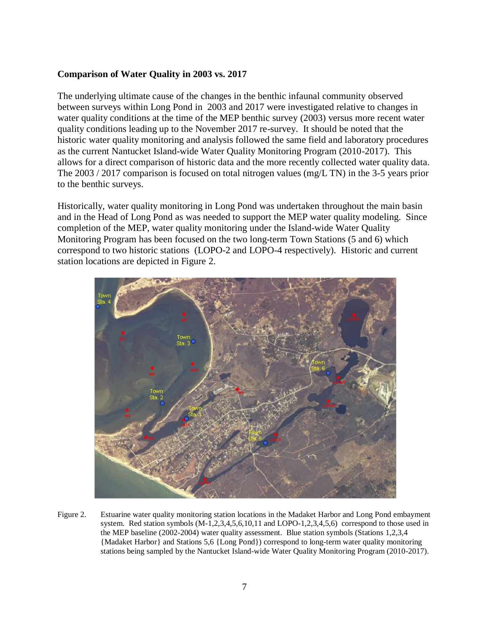## **Comparison of Water Quality in 2003 vs. 2017**

The underlying ultimate cause of the changes in the benthic infaunal community observed between surveys within Long Pond in 2003 and 2017 were investigated relative to changes in water quality conditions at the time of the MEP benthic survey (2003) versus more recent water quality conditions leading up to the November 2017 re-survey. It should be noted that the historic water quality monitoring and analysis followed the same field and laboratory procedures as the current Nantucket Island-wide Water Quality Monitoring Program (2010-2017). This allows for a direct comparison of historic data and the more recently collected water quality data. The 2003 / 2017 comparison is focused on total nitrogen values (mg/L TN) in the 3-5 years prior to the benthic surveys.

Historically, water quality monitoring in Long Pond was undertaken throughout the main basin and in the Head of Long Pond as was needed to support the MEP water quality modeling. Since completion of the MEP, water quality monitoring under the Island-wide Water Quality Monitoring Program has been focused on the two long-term Town Stations (5 and 6) which correspond to two historic stations (LOPO-2 and LOPO-4 respectively). Historic and current station locations are depicted in Figure 2.



Figure 2. Estuarine water quality monitoring station locations in the Madaket Harbor and Long Pond embayment system. Red station symbols (M-1,2,3,4,5,6,10,11 and LOPO-1,2,3,4,5,6) correspond to those used in the MEP baseline (2002-2004) water quality assessment. Blue station symbols (Stations 1,2,3,4 {Madaket Harbor} and Stations 5,6 {Long Pond}) correspond to long-term water quality monitoring stations being sampled by the Nantucket Island-wide Water Quality Monitoring Program (2010-2017).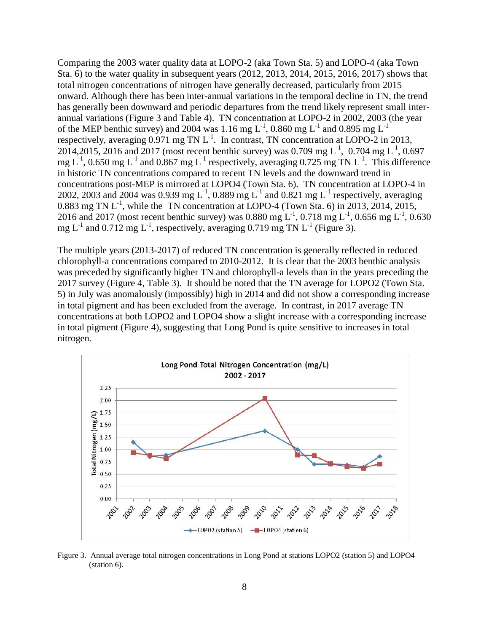Comparing the 2003 water quality data at LOPO-2 (aka Town Sta. 5) and LOPO-4 (aka Town Sta. 6) to the water quality in subsequent years (2012, 2013, 2014, 2015, 2016, 2017) shows that total nitrogen concentrations of nitrogen have generally decreased, particularly from 2015 onward. Although there has been inter-annual variations in the temporal decline in TN, the trend has generally been downward and periodic departures from the trend likely represent small interannual variations (Figure 3 and Table 4). TN concentration at LOPO-2 in 2002, 2003 (the year of the MEP benthic survey) and 2004 was 1.16 mg  $L^{-1}$ , 0.860 mg  $L^{-1}$  and 0.895 mg  $L^{-1}$ respectively, averaging  $0.971$  mg TN  $L^{-1}$ . In contrast, TN concentration at LOPO-2 in 2013, 2014,2015, 2016 and 2017 (most recent benthic survey) was 0.709 mg L<sup>-1</sup>, 0.704 mg L<sup>-1</sup>, 0.697 mg  $L^{-1}$ , 0.650 mg  $L^{-1}$  and 0.867 mg  $L^{-1}$  respectively, averaging 0.725 mg TN  $L^{-1}$ . This difference in historic TN concentrations compared to recent TN levels and the downward trend in concentrations post-MEP is mirrored at LOPO4 (Town Sta. 6). TN concentration at LOPO-4 in 2002, 2003 and 2004 was 0.939 mg L<sup>-1</sup>, 0.889 mg L<sup>-1</sup> and 0.821 mg L<sup>-1</sup> respectively, averaging 0.883 mg TN  $L^{-1}$ , while the TN concentration at LOPO-4 (Town Sta. 6) in 2013, 2014, 2015, 2016 and 2017 (most recent benthic survey) was 0.880 mg  $L^1$ , 0.718 mg  $L^1$ , 0.656 mg  $L^1$ , 0.630 mg  $L^{-1}$  and 0.712 mg  $L^{-1}$ , respectively, averaging 0.719 mg TN  $L^{-1}$  (Figure 3).

The multiple years (2013-2017) of reduced TN concentration is generally reflected in reduced chlorophyll-a concentrations compared to 2010-2012. It is clear that the 2003 benthic analysis was preceded by significantly higher TN and chlorophyll-a levels than in the years preceding the 2017 survey (Figure 4, Table 3). It should be noted that the TN average for LOPO2 (Town Sta. 5) in July was anomalously (impossibly) high in 2014 and did not show a corresponding increase in total pigment and has been excluded from the average. In contrast, in 2017 average TN concentrations at both LOPO2 and LOPO4 show a slight increase with a corresponding increase in total pigment (Figure 4), suggesting that Long Pond is quite sensitive to increases in total nitrogen.



Figure 3. Annual average total nitrogen concentrations in Long Pond at stations LOPO2 (station 5) and LOPO4 (station 6).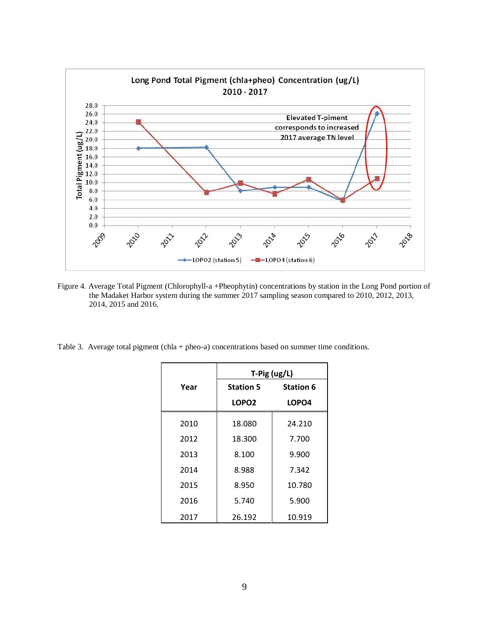

Figure 4. Average Total Pigment (Chlorophyll-a +Pheophytin) concentrations by station in the Long Pond portion of the Madaket Harbor system during the summer 2017 sampling season compared to 2010, 2012, 2013, 2014, 2015 and 2016.

Table 3. Average total pigment (chla + pheo-a) concentrations based on summer time conditions.

|      | T-Pig (ug/L)      |                  |  |  |  |  |  |  |
|------|-------------------|------------------|--|--|--|--|--|--|
| Year | <b>Station 5</b>  | <b>Station 6</b> |  |  |  |  |  |  |
|      | LOPO <sub>2</sub> | LOPO4            |  |  |  |  |  |  |
| 2010 | 18.080            | 24.210           |  |  |  |  |  |  |
| 2012 | 18.300            | 7.700            |  |  |  |  |  |  |
| 2013 | 8.100             | 9.900            |  |  |  |  |  |  |
| 2014 | 8.988             | 7.342            |  |  |  |  |  |  |
| 2015 | 8.950             | 10.780           |  |  |  |  |  |  |
| 2016 | 5.740             | 5.900            |  |  |  |  |  |  |
| 2017 | 26.192            | 10.919           |  |  |  |  |  |  |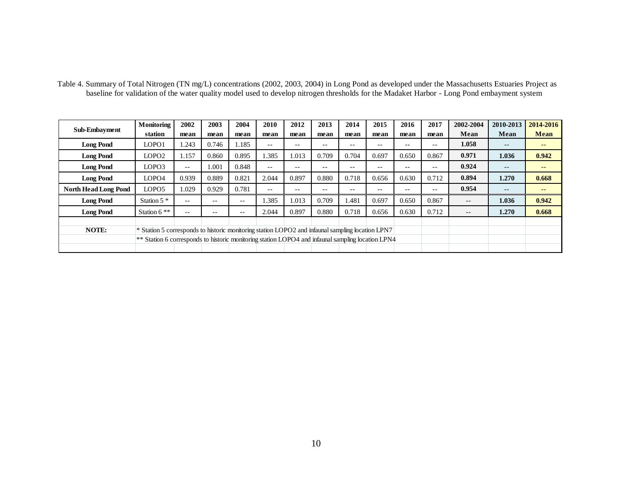| Table 4. Summary of Total Nitrogen (TN mg/L) concentrations (2002, 2003, 2004) in Long Pond as developed under the Massachusetts Estuaries Project as |                                                                                                   |               |       |                   |                   |       |                   |       |                   |       |       |           |                          |                   |
|-------------------------------------------------------------------------------------------------------------------------------------------------------|---------------------------------------------------------------------------------------------------|---------------|-------|-------------------|-------------------|-------|-------------------|-------|-------------------|-------|-------|-----------|--------------------------|-------------------|
| baseline for validation of the water quality model used to develop nitrogen thresholds for the Madaket Harbor - Long Pond embayment system            |                                                                                                   |               |       |                   |                   |       |                   |       |                   |       |       |           |                          |                   |
|                                                                                                                                                       |                                                                                                   |               |       |                   |                   |       |                   |       |                   |       |       |           |                          |                   |
|                                                                                                                                                       | Monitoring                                                                                        | 2002          | 2003  | 2004              | 2010              | 2012  | 2013              | 2014  | 2015              | 2016  | 2017  | 2002-2004 | 2010-2013                | 2014-2016         |
| Sub-Embayment                                                                                                                                         | station                                                                                           | mean          | mean  | mean              | mean              | mean  | mean              | mean  | mean              | mean  | mean  | Mean      | Mean                     | Mean              |
| <b>Long Pond</b>                                                                                                                                      | LOPO1                                                                                             | 1.243         | 0.746 | 1.185             | $\sim$ $-$        | $- -$ | $- -$             | --    | $- -$             | $- -$ | $- -$ | 1.058     | $- -$                    | $\qquad \qquad -$ |
| <b>Long Pond</b>                                                                                                                                      | LOPO <sub>2</sub>                                                                                 | 1.157         | 0.860 | 0.895             | 1.385             | 1.013 | 0.709             | 0.704 | 0.697             | 0.650 | 0.867 | 0.971     | 1.036                    | 0.942             |
| <b>Long Pond</b>                                                                                                                                      | LOPO3                                                                                             | $\sim$ $\sim$ | 1.001 | 0.848             | $\qquad \qquad -$ | $- -$ | $-$               | $- -$ | $- -$             | $- -$ | $- -$ | 0.924     | $\qquad \qquad -$        | $- -$             |
| <b>Long Pond</b>                                                                                                                                      | LOPO4                                                                                             | 0.939         | 0.889 | 0.821             | 2.044             | 0.897 | 0.880             | 0.718 | 0.656             | 0.630 | 0.712 | 0.894     | 1.270                    | 0.668             |
| <b>North Head Long Pond</b>                                                                                                                           | LOPO5                                                                                             | 1.029         | 0.929 | 0.781             | $\qquad \qquad -$ | $- -$ | $\qquad \qquad -$ | $- -$ | $\qquad \qquad -$ | $- -$ | $ -$  | 0.954     | $\overline{\phantom{m}}$ | $\qquad \qquad -$ |
| <b>Long Pond</b>                                                                                                                                      | Station $5$ $*$                                                                                   | $- -$         | $- -$ | $\qquad \qquad -$ | 1.385             | 1.013 | 0.709             | 1.481 | 0.697             | 0.650 | 0.867 | $- -$     | 1.036                    | 0.942             |
| <b>Long Pond</b>                                                                                                                                      | Station $6$ **                                                                                    | $- -$         | --    | $\sim$ $-$        | 2.044             | 0.897 | 0.880             | 0.718 | 0.656             | 0.630 | 0.712 | $- -$     | 1.270                    | 0.668             |
|                                                                                                                                                       |                                                                                                   |               |       |                   |                   |       |                   |       |                   |       |       |           |                          |                   |
| <b>NOTE:</b>                                                                                                                                          | * Station 5 corresponds to historic monitoring station LOPO2 and infaunal sampling location LPN7  |               |       |                   |                   |       |                   |       |                   |       |       |           |                          |                   |
|                                                                                                                                                       | ** Station 6 corresponds to historic monitoring station LOPO4 and infaunal sampling location LPN4 |               |       |                   |                   |       |                   |       |                   |       |       |           |                          |                   |
|                                                                                                                                                       |                                                                                                   |               |       |                   |                   |       |                   |       |                   |       |       |           |                          |                   |

Table 4. Summary of Total Nitrogen (TN mg/L) concentrations (2002, 2003, 2004) in Long Pond as developed under the Massachusetts Estuaries Project as baseline for validation of the water quality model used to develop nitrogen thresholds for the Madaket Harbor - Long Pond embayment system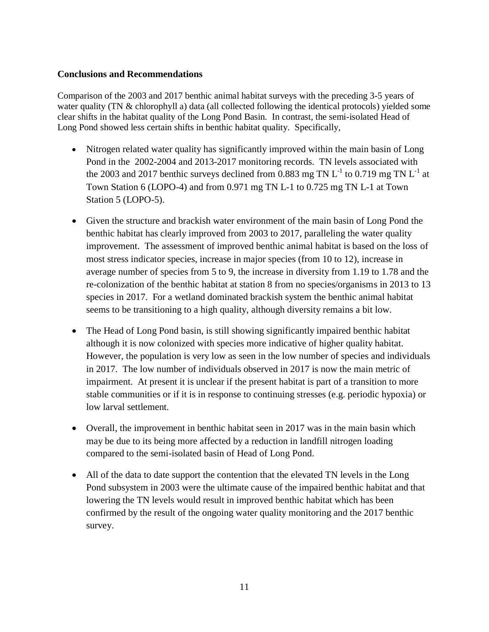## **Conclusions and Recommendations**

Comparison of the 2003 and 2017 benthic animal habitat surveys with the preceding 3-5 years of water quality (TN & chlorophyll a) data (all collected following the identical protocols) yielded some clear shifts in the habitat quality of the Long Pond Basin. In contrast, the semi-isolated Head of Long Pond showed less certain shifts in benthic habitat quality. Specifically,

- Nitrogen related water quality has significantly improved within the main basin of Long Pond in the 2002-2004 and 2013-2017 monitoring records. TN levels associated with the 2003 and 2017 benthic surveys declined from 0.883 mg TN  $L^{-1}$  to 0.719 mg TN  $L^{-1}$  at Town Station 6 (LOPO-4) and from 0.971 mg TN L-1 to 0.725 mg TN L-1 at Town Station 5 (LOPO-5).
- Given the structure and brackish water environment of the main basin of Long Pond the benthic habitat has clearly improved from 2003 to 2017, paralleling the water quality improvement. The assessment of improved benthic animal habitat is based on the loss of most stress indicator species, increase in major species (from 10 to 12), increase in average number of species from 5 to 9, the increase in diversity from 1.19 to 1.78 and the re-colonization of the benthic habitat at station 8 from no species/organisms in 2013 to 13 species in 2017. For a wetland dominated brackish system the benthic animal habitat seems to be transitioning to a high quality, although diversity remains a bit low.
- The Head of Long Pond basin, is still showing significantly impaired benthic habitat although it is now colonized with species more indicative of higher quality habitat. However, the population is very low as seen in the low number of species and individuals in 2017. The low number of individuals observed in 2017 is now the main metric of impairment. At present it is unclear if the present habitat is part of a transition to more stable communities or if it is in response to continuing stresses (e.g. periodic hypoxia) or low larval settlement.
- Overall, the improvement in benthic habitat seen in 2017 was in the main basin which may be due to its being more affected by a reduction in landfill nitrogen loading compared to the semi-isolated basin of Head of Long Pond.
- All of the data to date support the contention that the elevated TN levels in the Long Pond subsystem in 2003 were the ultimate cause of the impaired benthic habitat and that lowering the TN levels would result in improved benthic habitat which has been confirmed by the result of the ongoing water quality monitoring and the 2017 benthic survey.